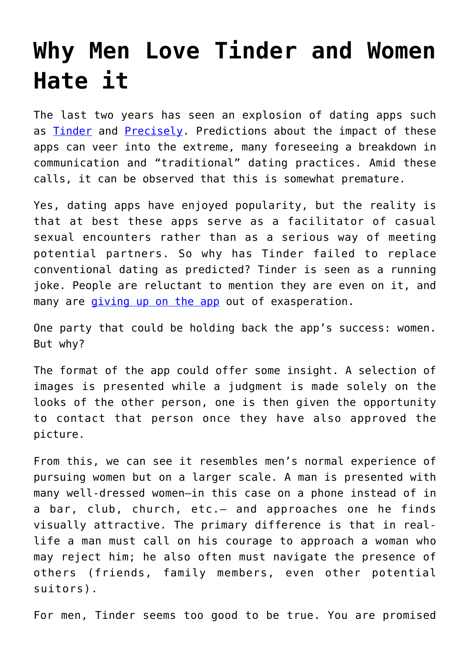## **[Why Men Love Tinder and Women](https://intellectualtakeout.org/2016/11/why-men-love-tinder-and-women-hate-it/) [Hate it](https://intellectualtakeout.org/2016/11/why-men-love-tinder-and-women-hate-it/)**

The last two years has seen an explosion of dating apps such as **Tinder** and **Precisely**. Predictions about the impact of these apps can veer into the extreme, many foreseeing a breakdown in communication and "traditional" dating practices. Amid these calls, it can be observed that this is somewhat premature.

Yes, dating apps have enjoyed popularity, but the reality is that at best these apps serve as a facilitator of casual sexual encounters rather than as a serious way of meeting potential partners. So why has Tinder failed to replace conventional dating as predicted? Tinder is seen as a running joke. People are reluctant to mention they are even on it, and many are *[giving up on the app](http://www.marieclaire.com/sex-love/news/a22648/quitting-tinder/)* out of exasperation.

One party that could be holding back the app's success: women. But why?

The format of the app could offer some insight. A selection of images is presented while a judgment is made solely on the looks of the other person, one is then given the opportunity to contact that person once they have also approved the picture.

From this, we can see it resembles men's normal experience of pursuing women but on a larger scale. A man is presented with many well-dressed women—in this case on a phone instead of in a bar, club, church, etc.— and approaches one he finds visually attractive. The primary difference is that in reallife a man must call on his courage to approach a woman who may reject him; he also often must navigate the presence of others (friends, family members, even other potential suitors).

For men, Tinder seems too good to be true. You are promised